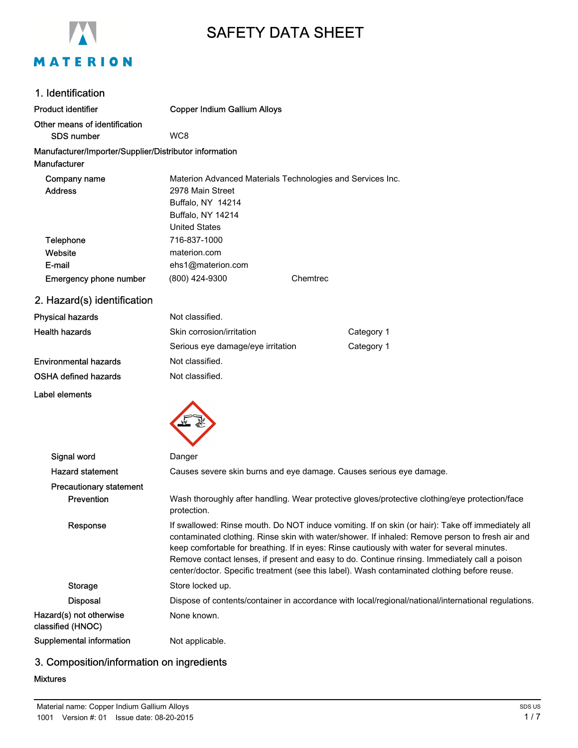

# SAFETY DATA SHEET

| 1. Identification                                      |                                                                                                                                                                                                                                                                                                                                                                                                                                                                                                       |          |                                                                                                     |  |
|--------------------------------------------------------|-------------------------------------------------------------------------------------------------------------------------------------------------------------------------------------------------------------------------------------------------------------------------------------------------------------------------------------------------------------------------------------------------------------------------------------------------------------------------------------------------------|----------|-----------------------------------------------------------------------------------------------------|--|
| <b>Product identifier</b>                              | <b>Copper Indium Gallium Alloys</b>                                                                                                                                                                                                                                                                                                                                                                                                                                                                   |          |                                                                                                     |  |
| Other means of identification<br><b>SDS number</b>     | WC8                                                                                                                                                                                                                                                                                                                                                                                                                                                                                                   |          |                                                                                                     |  |
| Manufacturer/Importer/Supplier/Distributor information |                                                                                                                                                                                                                                                                                                                                                                                                                                                                                                       |          |                                                                                                     |  |
| <b>Manufacturer</b>                                    |                                                                                                                                                                                                                                                                                                                                                                                                                                                                                                       |          |                                                                                                     |  |
| Company name<br>Address                                | Materion Advanced Materials Technologies and Services Inc.<br>2978 Main Street<br>Buffalo, NY 14214<br>Buffalo, NY 14214<br><b>United States</b>                                                                                                                                                                                                                                                                                                                                                      |          |                                                                                                     |  |
| Telephone                                              | 716-837-1000                                                                                                                                                                                                                                                                                                                                                                                                                                                                                          |          |                                                                                                     |  |
| Website                                                | materion.com                                                                                                                                                                                                                                                                                                                                                                                                                                                                                          |          |                                                                                                     |  |
| E-mail                                                 | ehs1@materion.com                                                                                                                                                                                                                                                                                                                                                                                                                                                                                     |          |                                                                                                     |  |
| <b>Emergency phone number</b>                          | (800) 424-9300                                                                                                                                                                                                                                                                                                                                                                                                                                                                                        | Chemtrec |                                                                                                     |  |
| 2. Hazard(s) identification                            |                                                                                                                                                                                                                                                                                                                                                                                                                                                                                                       |          |                                                                                                     |  |
| <b>Physical hazards</b>                                | Not classified.                                                                                                                                                                                                                                                                                                                                                                                                                                                                                       |          |                                                                                                     |  |
| <b>Health hazards</b>                                  | Skin corrosion/irritation                                                                                                                                                                                                                                                                                                                                                                                                                                                                             |          | Category 1                                                                                          |  |
|                                                        | Serious eye damage/eye irritation                                                                                                                                                                                                                                                                                                                                                                                                                                                                     |          | Category 1                                                                                          |  |
| <b>Environmental hazards</b>                           | Not classified.                                                                                                                                                                                                                                                                                                                                                                                                                                                                                       |          |                                                                                                     |  |
| <b>OSHA defined hazards</b>                            | Not classified.                                                                                                                                                                                                                                                                                                                                                                                                                                                                                       |          |                                                                                                     |  |
| Label elements                                         |                                                                                                                                                                                                                                                                                                                                                                                                                                                                                                       |          |                                                                                                     |  |
|                                                        |                                                                                                                                                                                                                                                                                                                                                                                                                                                                                                       |          |                                                                                                     |  |
| Signal word                                            | Danger                                                                                                                                                                                                                                                                                                                                                                                                                                                                                                |          |                                                                                                     |  |
| <b>Hazard statement</b>                                | Causes severe skin burns and eye damage. Causes serious eye damage.                                                                                                                                                                                                                                                                                                                                                                                                                                   |          |                                                                                                     |  |
| <b>Precautionary statement</b><br>Prevention           | Wash thoroughly after handling. Wear protective gloves/protective clothing/eye protection/face<br>protection.                                                                                                                                                                                                                                                                                                                                                                                         |          |                                                                                                     |  |
| Response                                               | If swallowed: Rinse mouth. Do NOT induce vomiting. If on skin (or hair): Take off immediately all<br>contaminated clothing. Rinse skin with water/shower. If inhaled: Remove person to fresh air and<br>keep comfortable for breathing. If in eyes: Rinse cautiously with water for several minutes.<br>Remove contact lenses, if present and easy to do. Continue rinsing. Immediately call a poison<br>center/doctor. Specific treatment (see this label). Wash contaminated clothing before reuse. |          |                                                                                                     |  |
| Storage                                                | Store locked up.                                                                                                                                                                                                                                                                                                                                                                                                                                                                                      |          |                                                                                                     |  |
| <b>Disposal</b>                                        |                                                                                                                                                                                                                                                                                                                                                                                                                                                                                                       |          | Dispose of contents/container in accordance with local/regional/national/international regulations. |  |
| Hazard(s) not otherwise<br>classified (HNOC)           | None known.                                                                                                                                                                                                                                                                                                                                                                                                                                                                                           |          |                                                                                                     |  |
| Supplemental information                               | Not applicable.                                                                                                                                                                                                                                                                                                                                                                                                                                                                                       |          |                                                                                                     |  |

# 3. Composition/information on ingredients

#### Mixtures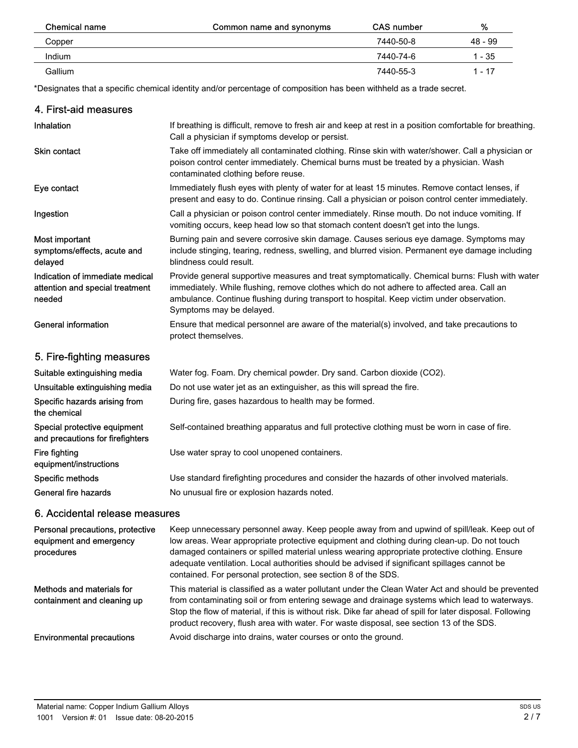| Chemical name | Common name and synonyms | <b>CAS</b> number | %        |
|---------------|--------------------------|-------------------|----------|
| Copper        |                          | 7440-50-8         | 48 - 99  |
| Indium        |                          | 7440-74-6         | 1 - 35   |
| Gallium       |                          | 7440-55-3         | $1 - 17$ |

\*Designates that a specific chemical identity and/or percentage of composition has been withheld as a trade secret.

| 4. First-aid measures                                                        |                                                                                                                                                                                                                                                                                                                                                                                                                                                               |
|------------------------------------------------------------------------------|---------------------------------------------------------------------------------------------------------------------------------------------------------------------------------------------------------------------------------------------------------------------------------------------------------------------------------------------------------------------------------------------------------------------------------------------------------------|
| Inhalation                                                                   | If breathing is difficult, remove to fresh air and keep at rest in a position comfortable for breathing.<br>Call a physician if symptoms develop or persist.                                                                                                                                                                                                                                                                                                  |
| Skin contact                                                                 | Take off immediately all contaminated clothing. Rinse skin with water/shower. Call a physician or<br>poison control center immediately. Chemical burns must be treated by a physician. Wash<br>contaminated clothing before reuse.                                                                                                                                                                                                                            |
| Eye contact                                                                  | Immediately flush eyes with plenty of water for at least 15 minutes. Remove contact lenses, if<br>present and easy to do. Continue rinsing. Call a physician or poison control center immediately.                                                                                                                                                                                                                                                            |
| Ingestion                                                                    | Call a physician or poison control center immediately. Rinse mouth. Do not induce vomiting. If<br>vomiting occurs, keep head low so that stomach content doesn't get into the lungs.                                                                                                                                                                                                                                                                          |
| Most important<br>symptoms/effects, acute and<br>delayed                     | Burning pain and severe corrosive skin damage. Causes serious eye damage. Symptoms may<br>include stinging, tearing, redness, swelling, and blurred vision. Permanent eye damage including<br>blindness could result.                                                                                                                                                                                                                                         |
| Indication of immediate medical<br>attention and special treatment<br>needed | Provide general supportive measures and treat symptomatically. Chemical burns: Flush with water<br>immediately. While flushing, remove clothes which do not adhere to affected area. Call an<br>ambulance. Continue flushing during transport to hospital. Keep victim under observation.<br>Symptoms may be delayed.                                                                                                                                         |
| <b>General information</b>                                                   | Ensure that medical personnel are aware of the material(s) involved, and take precautions to<br>protect themselves.                                                                                                                                                                                                                                                                                                                                           |
| 5. Fire-fighting measures                                                    |                                                                                                                                                                                                                                                                                                                                                                                                                                                               |
| Suitable extinguishing media                                                 | Water fog. Foam. Dry chemical powder. Dry sand. Carbon dioxide (CO2).                                                                                                                                                                                                                                                                                                                                                                                         |
| Unsuitable extinguishing media                                               | Do not use water jet as an extinguisher, as this will spread the fire.                                                                                                                                                                                                                                                                                                                                                                                        |
| Specific hazards arising from<br>the chemical                                | During fire, gases hazardous to health may be formed.                                                                                                                                                                                                                                                                                                                                                                                                         |
| Special protective equipment<br>and precautions for firefighters             | Self-contained breathing apparatus and full protective clothing must be worn in case of fire.                                                                                                                                                                                                                                                                                                                                                                 |
| <b>Fire fighting</b><br>equipment/instructions                               | Use water spray to cool unopened containers.                                                                                                                                                                                                                                                                                                                                                                                                                  |
| Specific methods                                                             | Use standard firefighting procedures and consider the hazards of other involved materials.                                                                                                                                                                                                                                                                                                                                                                    |
| <b>General fire hazards</b>                                                  | No unusual fire or explosion hazards noted.                                                                                                                                                                                                                                                                                                                                                                                                                   |
| 6. Accidental release measures                                               |                                                                                                                                                                                                                                                                                                                                                                                                                                                               |
| Personal precautions, protective<br>equipment and emergency<br>procedures    | Keep unnecessary personnel away. Keep people away from and upwind of spill/leak. Keep out of<br>low areas. Wear appropriate protective equipment and clothing during clean-up. Do not touch<br>damaged containers or spilled material unless wearing appropriate protective clothing. Ensure<br>adequate ventilation. Local authorities should be advised if significant spillages cannot be<br>contained. For personal protection, see section 8 of the SDS. |
| Methods and materials for<br>containment and cleaning up                     | This material is classified as a water pollutant under the Clean Water Act and should be prevented<br>from contaminating soil or from entering sewage and drainage systems which lead to waterways.<br>Stop the flow of material, if this is without risk. Dike far ahead of spill for later disposal. Following<br>product recovery, flush area with water. For waste disposal, see section 13 of the SDS.                                                   |

Environmental precautions Avoid discharge into drains, water courses or onto the ground.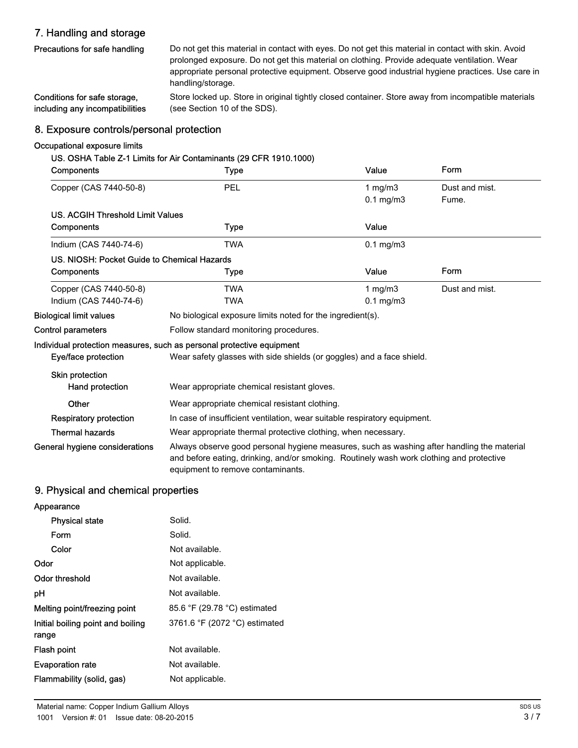# 7. Handling and storage

Do not get this material in contact with eyes. Do not get this material in contact with skin. Avoid prolonged exposure. Do not get this material on clothing. Provide adequate ventilation. Wear appropriate personal protective equipment. Observe good industrial hygiene practices. Use care in handling/storage. Precautions for safe handling Store locked up. Store in original tightly closed container. Store away from incompatible materials (see Section 10 of the SDS). Conditions for safe storage, including any incompatibilities

# 8. Exposure controls/personal protection

#### Occupational exposure limits

#### US. OSHA Table Z-1 Limits for Air Contaminants (29 CFR 1910.1000)

| Components                                  | Type                                                                                                                                                                                                                        | Value          | Form           |  |  |
|---------------------------------------------|-----------------------------------------------------------------------------------------------------------------------------------------------------------------------------------------------------------------------------|----------------|----------------|--|--|
| Copper (CAS 7440-50-8)                      | PEL                                                                                                                                                                                                                         | 1 $mg/m3$      | Dust and mist. |  |  |
|                                             |                                                                                                                                                                                                                             | $0.1$ mg/m $3$ | Fume.          |  |  |
| <b>US. ACGIH Threshold Limit Values</b>     |                                                                                                                                                                                                                             |                |                |  |  |
| Components                                  | Type                                                                                                                                                                                                                        | Value          |                |  |  |
| Indium (CAS 7440-74-6)                      | <b>TWA</b>                                                                                                                                                                                                                  | $0.1$ mg/m $3$ |                |  |  |
| US. NIOSH: Pocket Guide to Chemical Hazards |                                                                                                                                                                                                                             |                |                |  |  |
| Components                                  | Type                                                                                                                                                                                                                        | Value          | Form           |  |  |
| Copper (CAS 7440-50-8)                      | TWA                                                                                                                                                                                                                         | 1 mg/m $3$     | Dust and mist. |  |  |
| Indium (CAS 7440-74-6)                      | <b>TWA</b>                                                                                                                                                                                                                  | $0.1$ mg/m $3$ |                |  |  |
| <b>Biological limit values</b>              | No biological exposure limits noted for the ingredient(s).                                                                                                                                                                  |                |                |  |  |
| <b>Control parameters</b>                   | Follow standard monitoring procedures.                                                                                                                                                                                      |                |                |  |  |
|                                             | Individual protection measures, such as personal protective equipment                                                                                                                                                       |                |                |  |  |
| Eye/face protection                         | Wear safety glasses with side shields (or goggles) and a face shield.                                                                                                                                                       |                |                |  |  |
| Skin protection                             |                                                                                                                                                                                                                             |                |                |  |  |
| Hand protection                             | Wear appropriate chemical resistant gloves.                                                                                                                                                                                 |                |                |  |  |
| Other                                       | Wear appropriate chemical resistant clothing.                                                                                                                                                                               |                |                |  |  |
| Respiratory protection                      | In case of insufficient ventilation, wear suitable respiratory equipment.                                                                                                                                                   |                |                |  |  |
| <b>Thermal hazards</b>                      | Wear appropriate thermal protective clothing, when necessary.                                                                                                                                                               |                |                |  |  |
| General hygiene considerations              | Always observe good personal hygiene measures, such as washing after handling the material<br>and before eating, drinking, and/or smoking. Routinely wash work clothing and protective<br>equipment to remove contaminants. |                |                |  |  |

## 9. Physical and chemical properties

| Appearance                                 |                               |
|--------------------------------------------|-------------------------------|
| <b>Physical state</b>                      | Solid.                        |
| Form                                       | Solid.                        |
| Color                                      | Not available.                |
| Odor                                       | Not applicable.               |
| Odor threshold                             | Not available.                |
| рH                                         | Not available.                |
| Melting point/freezing point               | 85.6 °F (29.78 °C) estimated  |
| Initial boiling point and boiling<br>range | 3761.6 °F (2072 °C) estimated |
| Flash point                                | Not available.                |
| <b>Evaporation rate</b>                    | Not available.                |
| Flammability (solid, gas)                  | Not applicable.               |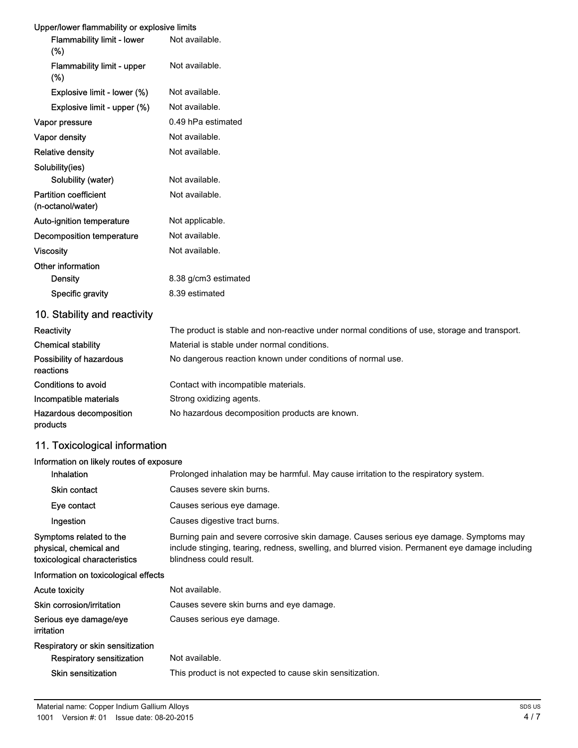# Upper/lower flammability or explosive limits

| Upper/lower hammability or explosive limits       |                                                                                               |
|---------------------------------------------------|-----------------------------------------------------------------------------------------------|
| <b>Flammability limit - lower</b><br>(%)          | Not available.                                                                                |
| Flammability limit - upper<br>(%)                 | Not available.                                                                                |
| Explosive limit - lower (%)                       | Not available.                                                                                |
| Explosive limit - upper (%)                       | Not available.                                                                                |
| Vapor pressure                                    | 0.49 hPa estimated                                                                            |
| Vapor density                                     | Not available.                                                                                |
| <b>Relative density</b>                           | Not available.                                                                                |
| Solubility(ies)                                   |                                                                                               |
| Solubility (water)                                | Not available.                                                                                |
| <b>Partition coefficient</b><br>(n-octanol/water) | Not available.                                                                                |
| Auto-ignition temperature                         | Not applicable.                                                                               |
| <b>Decomposition temperature</b>                  | Not available.                                                                                |
| <b>Viscosity</b>                                  | Not available.                                                                                |
| Other information                                 |                                                                                               |
| <b>Density</b>                                    | 8.38 g/cm3 estimated                                                                          |
| Specific gravity                                  | 8.39 estimated                                                                                |
| 10. Stability and reactivity                      |                                                                                               |
| Reactivity                                        | The product is stable and non-reactive under normal conditions of use, storage and transport. |
| <b>Chemical stability</b>                         | Material is stable under normal conditions.                                                   |
| Possibility of hazardous<br>reactions             | No dangerous reaction known under conditions of normal use.                                   |
| <b>Conditions to avoid</b>                        | Contact with incompatible materials.                                                          |
| Incompatible materials                            | Strong oxidizing agents.                                                                      |
| Hazardous decomposition<br>products               | No hazardous decomposition products are known.                                                |

# 11. Toxicological information

#### Information on likely routes of exposure

| <b>Inhalation</b>                                                                  | Prolonged inhalation may be harmful. May cause irritation to the respiratory system.                                                                                                                                  |
|------------------------------------------------------------------------------------|-----------------------------------------------------------------------------------------------------------------------------------------------------------------------------------------------------------------------|
| <b>Skin contact</b>                                                                | Causes severe skin burns.                                                                                                                                                                                             |
| Eye contact                                                                        | Causes serious eye damage.                                                                                                                                                                                            |
| Ingestion                                                                          | Causes digestive tract burns.                                                                                                                                                                                         |
| Symptoms related to the<br>physical, chemical and<br>toxicological characteristics | Burning pain and severe corrosive skin damage. Causes serious eye damage. Symptoms may<br>include stinging, tearing, redness, swelling, and blurred vision. Permanent eye damage including<br>blindness could result. |
| Information on toxicological effects                                               |                                                                                                                                                                                                                       |
| Acute toxicity                                                                     | Not available.                                                                                                                                                                                                        |
| Skin corrosion/irritation                                                          | Causes severe skin burns and eye damage.                                                                                                                                                                              |
| Serious eye damage/eye<br>irritation                                               | Causes serious eye damage.                                                                                                                                                                                            |
| Respiratory or skin sensitization                                                  |                                                                                                                                                                                                                       |
| Respiratory sensitization                                                          | Not available.                                                                                                                                                                                                        |
| <b>Skin sensitization</b>                                                          | This product is not expected to cause skin sensitization.                                                                                                                                                             |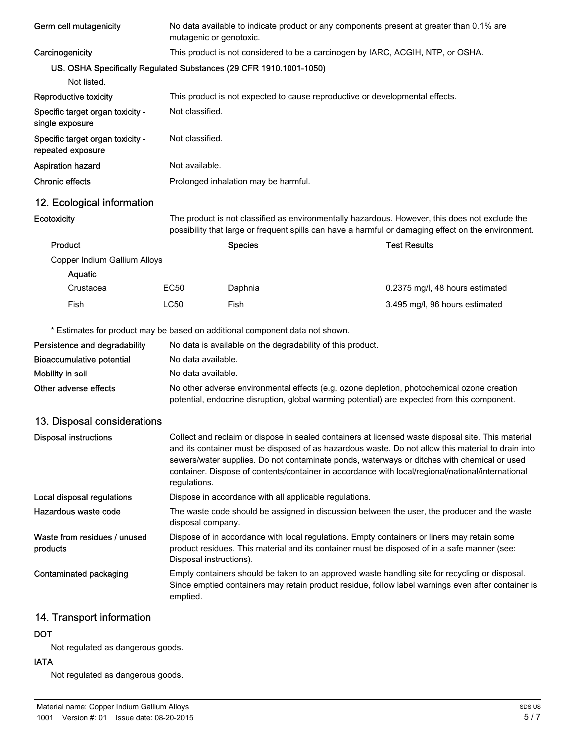| Germ cell mutagenicity                                                       | No data available to indicate product or any components present at greater than 0.1% are<br>mutagenic or genotoxic.                                                                                                                                                                                                                                                                                                          |                                                            |                                                                                                                                                                                                       |  |
|------------------------------------------------------------------------------|------------------------------------------------------------------------------------------------------------------------------------------------------------------------------------------------------------------------------------------------------------------------------------------------------------------------------------------------------------------------------------------------------------------------------|------------------------------------------------------------|-------------------------------------------------------------------------------------------------------------------------------------------------------------------------------------------------------|--|
| Carcinogenicity                                                              | This product is not considered to be a carcinogen by IARC, ACGIH, NTP, or OSHA.                                                                                                                                                                                                                                                                                                                                              |                                                            |                                                                                                                                                                                                       |  |
|                                                                              | US. OSHA Specifically Regulated Substances (29 CFR 1910.1001-1050)                                                                                                                                                                                                                                                                                                                                                           |                                                            |                                                                                                                                                                                                       |  |
| Not listed.                                                                  |                                                                                                                                                                                                                                                                                                                                                                                                                              |                                                            |                                                                                                                                                                                                       |  |
| Reproductive toxicity                                                        |                                                                                                                                                                                                                                                                                                                                                                                                                              |                                                            | This product is not expected to cause reproductive or developmental effects.                                                                                                                          |  |
| Specific target organ toxicity -<br>single exposure                          | Not classified.                                                                                                                                                                                                                                                                                                                                                                                                              |                                                            |                                                                                                                                                                                                       |  |
| Specific target organ toxicity -<br>repeated exposure                        | Not classified.                                                                                                                                                                                                                                                                                                                                                                                                              |                                                            |                                                                                                                                                                                                       |  |
| <b>Aspiration hazard</b>                                                     | Not available.                                                                                                                                                                                                                                                                                                                                                                                                               |                                                            |                                                                                                                                                                                                       |  |
| <b>Chronic effects</b>                                                       |                                                                                                                                                                                                                                                                                                                                                                                                                              | Prolonged inhalation may be harmful.                       |                                                                                                                                                                                                       |  |
|                                                                              |                                                                                                                                                                                                                                                                                                                                                                                                                              |                                                            |                                                                                                                                                                                                       |  |
| 12. Ecological information                                                   |                                                                                                                                                                                                                                                                                                                                                                                                                              |                                                            |                                                                                                                                                                                                       |  |
| Ecotoxicity                                                                  |                                                                                                                                                                                                                                                                                                                                                                                                                              |                                                            | The product is not classified as environmentally hazardous. However, this does not exclude the<br>possibility that large or frequent spills can have a harmful or damaging effect on the environment. |  |
| Product                                                                      |                                                                                                                                                                                                                                                                                                                                                                                                                              | <b>Species</b>                                             | <b>Test Results</b>                                                                                                                                                                                   |  |
| Copper Indium Gallium Alloys                                                 |                                                                                                                                                                                                                                                                                                                                                                                                                              |                                                            |                                                                                                                                                                                                       |  |
| Aquatic                                                                      |                                                                                                                                                                                                                                                                                                                                                                                                                              |                                                            |                                                                                                                                                                                                       |  |
| Crustacea                                                                    | <b>EC50</b>                                                                                                                                                                                                                                                                                                                                                                                                                  | Daphnia                                                    | 0.2375 mg/l, 48 hours estimated                                                                                                                                                                       |  |
| Fish                                                                         | <b>LC50</b>                                                                                                                                                                                                                                                                                                                                                                                                                  | Fish                                                       | 3.495 mg/l, 96 hours estimated                                                                                                                                                                        |  |
|                                                                              |                                                                                                                                                                                                                                                                                                                                                                                                                              |                                                            |                                                                                                                                                                                                       |  |
| * Estimates for product may be based on additional component data not shown. |                                                                                                                                                                                                                                                                                                                                                                                                                              |                                                            |                                                                                                                                                                                                       |  |
| Persistence and degradability                                                |                                                                                                                                                                                                                                                                                                                                                                                                                              | No data is available on the degradability of this product. |                                                                                                                                                                                                       |  |
| <b>Bioaccumulative potential</b>                                             | No data available.                                                                                                                                                                                                                                                                                                                                                                                                           |                                                            |                                                                                                                                                                                                       |  |
| Mobility in soil                                                             | No data available.                                                                                                                                                                                                                                                                                                                                                                                                           |                                                            |                                                                                                                                                                                                       |  |
| Other adverse effects                                                        | No other adverse environmental effects (e.g. ozone depletion, photochemical ozone creation<br>potential, endocrine disruption, global warming potential) are expected from this component.                                                                                                                                                                                                                                   |                                                            |                                                                                                                                                                                                       |  |
| 13. Disposal considerations                                                  |                                                                                                                                                                                                                                                                                                                                                                                                                              |                                                            |                                                                                                                                                                                                       |  |
| <b>Disposal instructions</b>                                                 | Collect and reclaim or dispose in sealed containers at licensed waste disposal site. This material<br>and its container must be disposed of as hazardous waste. Do not allow this material to drain into<br>sewers/water supplies. Do not contaminate ponds, waterways or ditches with chemical or used<br>container. Dispose of contents/container in accordance with local/regional/national/international<br>regulations. |                                                            |                                                                                                                                                                                                       |  |
| Local disposal regulations                                                   | Dispose in accordance with all applicable regulations.                                                                                                                                                                                                                                                                                                                                                                       |                                                            |                                                                                                                                                                                                       |  |
| Hazardous waste code                                                         | The waste code should be assigned in discussion between the user, the producer and the waste<br>disposal company.                                                                                                                                                                                                                                                                                                            |                                                            |                                                                                                                                                                                                       |  |
| Waste from residues / unused<br>products                                     | Dispose of in accordance with local regulations. Empty containers or liners may retain some<br>product residues. This material and its container must be disposed of in a safe manner (see:<br>Disposal instructions).                                                                                                                                                                                                       |                                                            |                                                                                                                                                                                                       |  |
| Contaminated packaging                                                       | Empty containers should be taken to an approved waste handling site for recycling or disposal.<br>Since emptied containers may retain product residue, follow label warnings even after container is<br>emptied.                                                                                                                                                                                                             |                                                            |                                                                                                                                                                                                       |  |
| 14. Transport information                                                    |                                                                                                                                                                                                                                                                                                                                                                                                                              |                                                            |                                                                                                                                                                                                       |  |
| <b>DOT</b>                                                                   |                                                                                                                                                                                                                                                                                                                                                                                                                              |                                                            |                                                                                                                                                                                                       |  |
| Not regulated as dangerous goods.                                            |                                                                                                                                                                                                                                                                                                                                                                                                                              |                                                            |                                                                                                                                                                                                       |  |
| <b>IATA</b><br>Not regulated as dangerous goods.                             |                                                                                                                                                                                                                                                                                                                                                                                                                              |                                                            |                                                                                                                                                                                                       |  |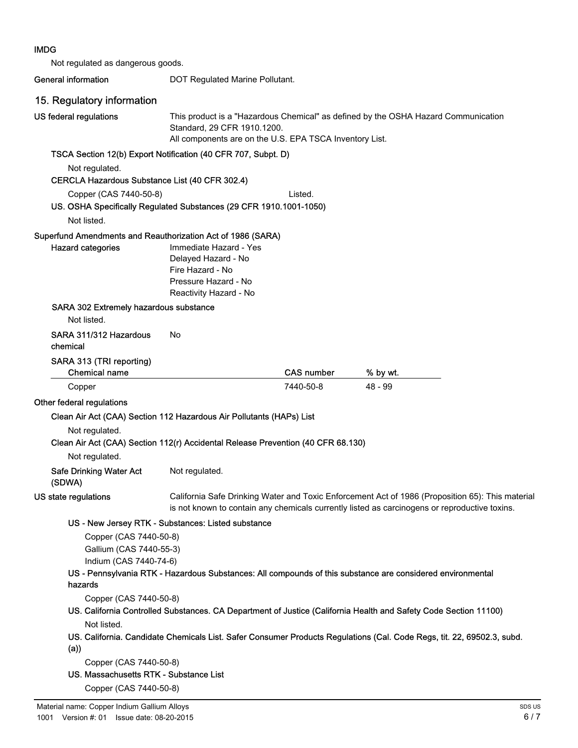| i |
|---|
|---|

Not regulated as dangerous goods.

General information DOT Regulated Marine Pollutant.

### 15. Regulatory information

US federal regulations

This product is a "Hazardous Chemical" as defined by the OSHA Hazard Communication Standard, 29 CFR 1910.1200. All components are on the U.S. EPA TSCA Inventory List.

## TSCA Section 12(b) Export Notification (40 CFR 707, Subpt. D)

Not regulated.

# CERCLA Hazardous Substance List (40 CFR 302.4)

| Copper (CAS 7440-50-8)                                             | Listed. |
|--------------------------------------------------------------------|---------|
| US. OSHA Specifically Regulated Substances (29 CFR 1910.1001-1050) |         |
| Not listed.                                                        |         |

#### Superfund Amendments and Reauthorization Act of 1986 (SARA)

| Immediate Hazard - Yes |
|------------------------|
| Delayed Hazard - No    |
| Fire Hazard - No       |
| Pressure Hazard - No   |
| Reactivity Hazard - No |

## SARA 302 Extremely hazardous substance

Not listed.

Hazard categories

#### SARA 311/312 Hazardous No

#### chemical

#### SARA 313 (TRI reporting)

| Chemical name | <b>CAS number</b> | % by wt. |  |
|---------------|-------------------|----------|--|
| Copper        | 7440-50-8         | 48 - 99  |  |

#### Other federal regulations

Clean Air Act (CAA) Section 112 Hazardous Air Pollutants (HAPs) List

Not regulated.

# Clean Air Act (CAA) Section 112(r) Accidental Release Prevention (40 CFR 68.130)

Not regulated.

Safe Drinking Water Act Not regulated.

# (SDWA)

US state regulations

California Safe Drinking Water and Toxic Enforcement Act of 1986 (Proposition 65): This material is not known to contain any chemicals currently listed as carcinogens or reproductive toxins.

#### US - New Jersey RTK - Substances: Listed substance

Copper (CAS 7440-50-8) Gallium (CAS 7440-55-3) Indium (CAS 7440-74-6)

#### US - Pennsylvania RTK - Hazardous Substances: All compounds of this substance are considered environmental hazards

Copper (CAS 7440-50-8)

# US. California Controlled Substances. CA Department of Justice (California Health and Safety Code Section 11100) Not listed.

#### US. California. Candidate Chemicals List. Safer Consumer Products Regulations (Cal. Code Regs, tit. 22, 69502.3, subd. (a))

Copper (CAS 7440-50-8)

#### US. Massachusetts RTK - Substance List

Copper (CAS 7440-50-8)